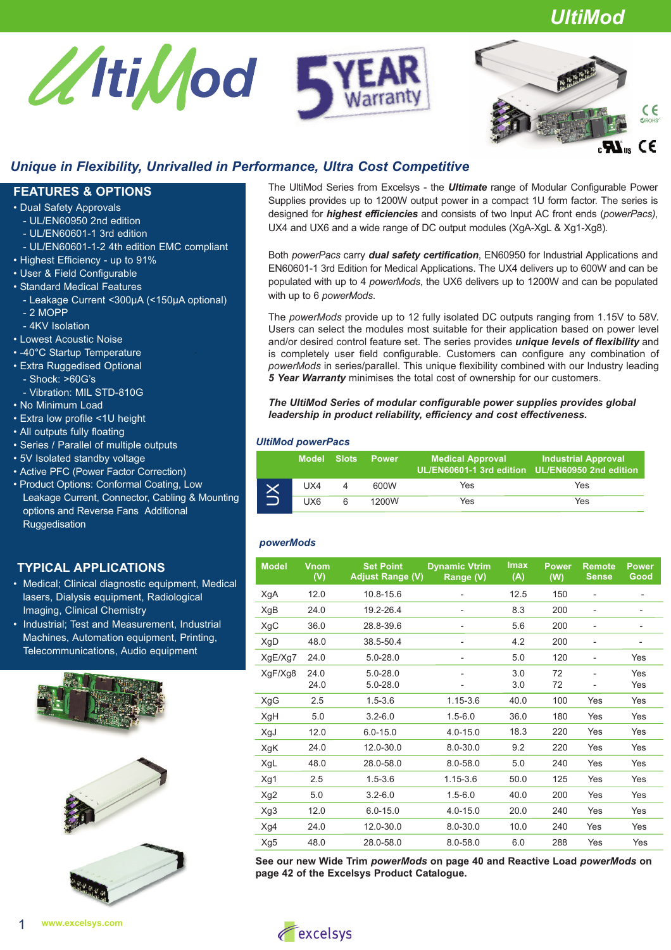



# *Unique in Flexibility, Unrivalled in Performance, Ultra Cost Competitive*

## **FEATURES & OPTIONS**

- Dual Safety Approvals
	- UL/EN60950 2nd edition
	- UL/EN60601-1 3rd edition
- UL/EN60601-1-2 4th edition EMC compliant
- Highest Efficiency up to 91%
- User & Field Configurable
- Standard Medical Features
	- Leakage Current <300µA (<150µA optional) - 2 MOPP
	- 4KV Isolation
- Lowest Acoustic Noise
- -40°C Startup Temperature
- Extra Ruggedised Optional - Shock: >60G's
- Vibration: MIL STD-810G
- No Minimum Load
- Extra low profile <1U height
- All outputs fully floating
- Series / Parallel of multiple outputs
- 5V Isolated standby voltage
- Active PFC (Power Factor Correction)
- Product Options: Conformal Coating, Low Leakage Current, Connector, Cabling & Mounting options and Reverse Fans Additional Ruggedisation

## **TYPICAL APPLICATIONS**

- Medical; Clinical diagnostic equipment, Medical lasers, Dialysis equipment, Radiological Imaging, Clinical Chemistry
- Industrial; Test and Measurement, Industrial Machines, Automation equipment, Printing, Telecommunications, Audio equipment





The UltiMod Series from Excelsys - the *Ultimate* range of Modular Configurable Power Supplies provides up to 1200W output power in a compact 1U form factor. The series is designed for *highest efficiencies* and consists of two Input AC front ends (*powerPacs)*, UX4 and UX6 and a wide range of DC output modules (XgA-XgL & Xg1-Xg8).

Both *powerPacs* carry *dual safety certification*, EN60950 for Industrial Applications and EN60601-1 3rd Edition for Medical Applications. The UX4 delivers up to 600W and can be populated with up to 4 *powerMods*, the UX6 delivers up to 1200W and can be populated with up to 6 *powerMods*.

The *powerMods* provide up to 12 fully isolated DC outputs ranging from 1.15V to 58V. Users can select the modules most suitable for their application based on power level and/or desired control feature set. The series provides *unique levels of flexibility* and is completely user field configurable. Customers can configure any combination of *powerMods* in series/parallel. This unique flexibility combined with our Industry leading *5 Year Warranty* minimises the total cost of ownership for our customers.

*The UltiMod Series of modular configurable power supplies provides global leadership in product reliability, efficiency and cost effectiveness.* 

#### *UltiMod powerPacs*

|                     | Model Slots |   | <b>Power</b> | <b>Medical Approval</b><br>UL/EN60601-1 3rd edition UL/EN60950 2nd edition | <b>Industrial Approval</b> |
|---------------------|-------------|---|--------------|----------------------------------------------------------------------------|----------------------------|
| $\overline{\bf{X}}$ | UX4         | 4 | 600W         | Yes                                                                        | Yes                        |
|                     | UX6         | 6 | 1200W        | Yes                                                                        | Yes                        |

### *powerMods*

| <b>Model</b> | Vnom<br>(V)  | <b>Set Point</b><br><b>Adjust Range (V)</b> | <b>Dynamic Vtrim</b><br>Range (V) | <b>Imax</b><br>(A) | Power<br>(W) | <b>Remote</b><br><b>Sense</b> | <b>Power</b><br>Good |
|--------------|--------------|---------------------------------------------|-----------------------------------|--------------------|--------------|-------------------------------|----------------------|
| XgA          | 12.0         | 10.8-15.6                                   |                                   | 12.5               | 150          | $\overline{a}$                |                      |
| XgB          | 24.0         | 19.2-26.4                                   |                                   | 8.3                | 200          | $\overline{a}$                |                      |
| XgC          | 36.0         | 28.8-39.6                                   | $\qquad \qquad \blacksquare$      | 5.6                | 200          | -                             |                      |
| XgD          | 48.0         | 38.5-50.4                                   | $\qquad \qquad \blacksquare$      | 4.2                | 200          | $\overline{a}$                |                      |
| XgE/Xg7      | 24.0         | $5.0 - 28.0$                                | $\qquad \qquad \blacksquare$      | 5.0                | 120          | $\overline{a}$                | Yes                  |
| XgF/Xg8      | 24.0<br>24.0 | $5.0 - 28.0$<br>$5.0 - 28.0$                |                                   | 3.0<br>3.0         | 72<br>72     | $\overline{\phantom{0}}$      | Yes<br>Yes           |
| XgG          | 2.5          | $1.5 - 3.6$                                 | 1.15-3.6                          | 40.0               | 100          | Yes                           | Yes                  |
| XgH          | 5.0          | $3.2 - 6.0$                                 | $1.5 - 6.0$                       | 36.0               | 180          | Yes                           | Yes                  |
| XgJ          | 12.0         | $6.0 - 15.0$                                | $4.0 - 15.0$                      | 18.3               | 220          | Yes                           | Yes                  |
| XgK          | 24.0         | 12.0-30.0                                   | $8.0 - 30.0$                      | 9.2                | 220          | Yes                           | Yes                  |
| XgL          | 48.0         | 28.0-58.0                                   | $8.0 - 58.0$                      | 5.0                | 240          | Yes                           | Yes                  |
| Xg1          | 2.5          | $1.5 - 3.6$                                 | 1.15-3.6                          | 50.0               | 125          | Yes                           | Yes                  |
| Xg2          | 5.0          | $3.2 - 6.0$                                 | $1.5 - 6.0$                       | 40.0               | 200          | Yes                           | Yes                  |
| Xg3          | 12.0         | $6.0 - 15.0$                                | $4.0 - 15.0$                      | 20.0               | 240          | Yes                           | Yes                  |
| Xg4          | 24.0         | 12.0-30.0                                   | $8.0 - 30.0$                      | 10.0               | 240          | Yes                           | Yes                  |
| Xg5          | 48.0         | 28.0-58.0                                   | $8.0 - 58.0$                      | 6.0                | 288          | Yes                           | Yes                  |

**See our new Wide Trim** *powerMods* **on page 40 and Reactive Load** *powerMods* **on page 42 of the Excelsys Product Catalogue.**

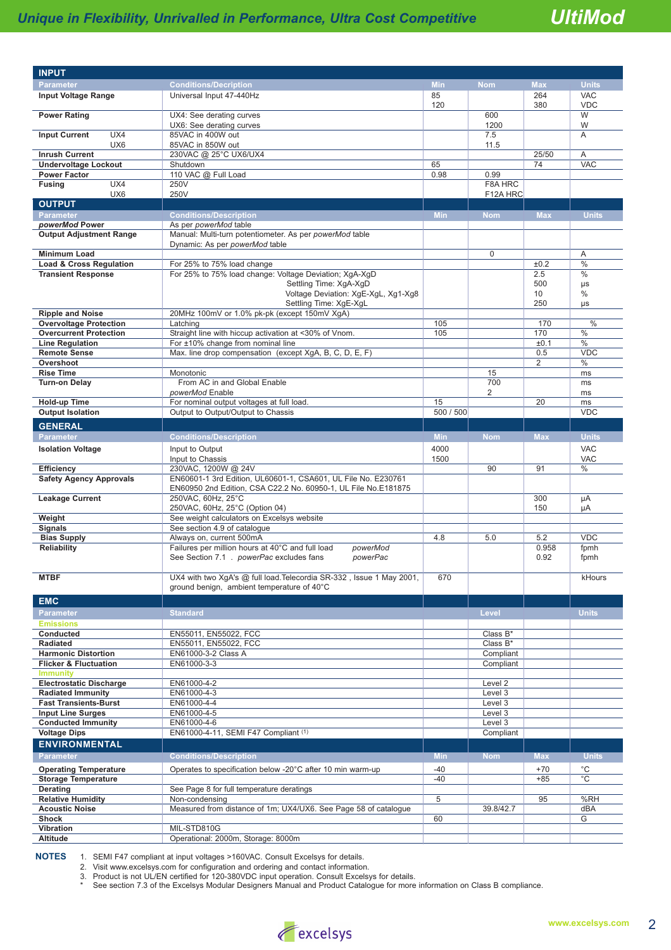| <b>INPUT</b>                                                   |                                                                                                                    |                 |                    |             |                  |
|----------------------------------------------------------------|--------------------------------------------------------------------------------------------------------------------|-----------------|--------------------|-------------|------------------|
| <b>Parameter</b>                                               | <b>Conditions/Decription</b>                                                                                       | <b>Min</b>      | <b>Nom</b>         | <b>Max</b>  | <b>Units</b>     |
| <b>Input Voltage Range</b>                                     | Universal Input 47-440Hz                                                                                           | 85              |                    | 264         | <b>VAC</b>       |
|                                                                |                                                                                                                    | 120             |                    | 380         | <b>VDC</b>       |
| <b>Power Rating</b>                                            | UX4: See derating curves                                                                                           |                 | 600                |             | W                |
|                                                                | UX6: See derating curves                                                                                           |                 | 1200               |             | W                |
| UX4<br><b>Input Current</b>                                    | 85VAC in 400W out                                                                                                  |                 | 7.5                |             | A                |
| UX <sub>6</sub>                                                | 85VAC in 850W out                                                                                                  |                 | 11.5               |             |                  |
| <b>Inrush Current</b><br><b>Undervoltage Lockout</b>           | 230VAC @ 25°C UX6/UX4<br>Shutdown                                                                                  | 65              |                    | 25/50<br>74 | Α<br><b>VAC</b>  |
| <b>Power Factor</b>                                            | 110 VAC @ Full Load                                                                                                | 0.98            | 0.99               |             |                  |
| UX4<br><b>Fusing</b>                                           | 250V                                                                                                               |                 | F8A HRC            |             |                  |
| UX <sub>6</sub>                                                | 250V                                                                                                               |                 | F12A HRC           |             |                  |
| <b>OUTPUT</b>                                                  |                                                                                                                    |                 |                    |             |                  |
| <b>Parameter</b>                                               | <b>Conditions/Description</b>                                                                                      | <b>Min</b>      | <b>Nom</b>         | <b>Max</b>  | <b>Units</b>     |
| powerMod Power                                                 | As per powerMod table                                                                                              |                 |                    |             |                  |
| <b>Output Adjustment Range</b>                                 | Manual: Multi-turn potentiometer. As per powerMod table                                                            |                 |                    |             |                  |
| <b>Minimum Load</b>                                            | Dynamic: As per powerMod table                                                                                     |                 | $\mathbf 0$        |             | Α                |
| <b>Load &amp; Cross Regulation</b>                             | For 25% to 75% load change                                                                                         |                 |                    | ±0.2        | $\%$             |
| <b>Transient Response</b>                                      | For 25% to 75% load change: Voltage Deviation; XgA-XgD                                                             |                 |                    | 2.5         | $\%$             |
|                                                                | Settling Time: XgA-XgD                                                                                             |                 |                    | 500         | μs               |
|                                                                | Voltage Deviation: XgE-XgL, Xg1-Xg8                                                                                |                 |                    | 10          | $\frac{0}{0}$    |
|                                                                | Settling Time: XgE-XgL                                                                                             |                 |                    | 250         | μs               |
| <b>Ripple and Noise</b>                                        | 20MHz 100mV or 1.0% pk-pk (except 150mV XqA)                                                                       |                 |                    |             |                  |
| <b>Overvoltage Protection</b><br><b>Overcurrent Protection</b> | Latching<br>Straight line with hiccup activation at <30% of Vnom.                                                  | 105<br>105      |                    | 170<br>170  | $\%$<br>$\%$     |
| <b>Line Regulation</b>                                         | For ±10% change from nominal line                                                                                  |                 |                    | ±0.1        | $\%$             |
| <b>Remote Sense</b>                                            | Max. line drop compensation (except XqA, B, C, D, E, F)                                                            |                 |                    | 0.5         | <b>VDC</b>       |
| Overshoot                                                      |                                                                                                                    |                 |                    | 2           | $\%$             |
| <b>Rise Time</b>                                               | Monotonic                                                                                                          |                 | 15                 |             | ms               |
| <b>Turn-on Delay</b>                                           | From AC in and Global Enable                                                                                       |                 | 700                |             | ms               |
|                                                                | powerMod Enable                                                                                                    |                 | 2                  |             | ms               |
| Hold-up Time                                                   | For nominal output voltages at full load.<br>Output to Output/Output to Chassis                                    | 15<br>500 / 500 |                    | 20          | ms<br><b>VDC</b> |
| <b>Output Isolation</b>                                        |                                                                                                                    |                 |                    |             |                  |
| <b>GENERAL</b>                                                 |                                                                                                                    |                 |                    |             |                  |
| <b>Parameter</b>                                               | <b>Conditions/Description</b>                                                                                      | <b>Min</b>      | <b>Nom</b>         | <b>Max</b>  | <b>Units</b>     |
| <b>Isolation Voltage</b>                                       | Input to Output                                                                                                    | 4000            |                    |             | <b>VAC</b>       |
|                                                                |                                                                                                                    |                 |                    |             | <b>VAC</b>       |
|                                                                | Input to Chassis                                                                                                   | 1500            |                    |             |                  |
| <b>Efficiency</b>                                              | 230VAC, 1200W @ 24V                                                                                                |                 | 90                 | 91          | $\%$             |
| <b>Safety Agency Approvals</b>                                 | EN60601-1 3rd Edition, UL60601-1, CSA601, UL File No. E230761                                                      |                 |                    |             |                  |
| <b>Leakage Current</b>                                         | EN60950 2nd Edition, CSA C22.2 No. 60950-1, UL File No.E181875<br>250VAC, 60Hz, 25°C                               |                 |                    | 300         | μA               |
|                                                                | 250VAC, 60Hz, 25°C (Option 04)                                                                                     |                 |                    | 150         | μA               |
| Weight                                                         | See weight calculators on Excelsys website                                                                         |                 |                    |             |                  |
| <b>Signals</b>                                                 | See section 4.9 of catalogue                                                                                       |                 |                    |             |                  |
| <b>Bias Supply</b>                                             | Always on, current 500mA                                                                                           | 4.8             | 5.0                | 5.2         | <b>VDC</b>       |
| <b>Reliability</b>                                             | Failures per million hours at 40°C and full load<br>powerMod                                                       |                 |                    | 0.958       | fpmh             |
|                                                                | See Section 7.1 . powerPac excludes fans<br>powerPac                                                               |                 |                    | 0.92        | fpmh             |
| <b>MTBF</b>                                                    |                                                                                                                    | 670             |                    |             | kHours           |
|                                                                | UX4 with two XgA's @ full load. Telecordia SR-332, Issue 1 May 2001,<br>ground benign, ambient temperature of 40°C |                 |                    |             |                  |
|                                                                |                                                                                                                    |                 |                    |             |                  |
| <b>EMC</b>                                                     | <b>Standard</b>                                                                                                    |                 | Level              |             |                  |
| <b>Parameter</b><br><b>Emissions</b>                           |                                                                                                                    |                 |                    |             | <b>Units</b>     |
| Conducted                                                      | EN55011, EN55022, FCC                                                                                              |                 | Class B*           |             |                  |
| Radiated                                                       | EN55011, EN55022, FCC                                                                                              |                 | Class B*           |             |                  |
| <b>Harmonic Distortion</b>                                     | EN61000-3-2 Class A                                                                                                |                 | Compliant          |             |                  |
| <b>Flicker &amp; Fluctuation</b>                               | EN61000-3-3                                                                                                        |                 | Compliant          |             |                  |
| <b>Immunity</b>                                                |                                                                                                                    |                 |                    |             |                  |
| <b>Electrostatic Discharge</b>                                 | EN61000-4-2                                                                                                        |                 | Level 2            |             |                  |
| <b>Radiated Immunity</b><br><b>Fast Transients-Burst</b>       | EN61000-4-3<br>EN61000-4-4                                                                                         |                 | Level 3<br>Level 3 |             |                  |
| <b>Input Line Surges</b>                                       | EN61000-4-5                                                                                                        |                 | Level 3            |             |                  |
| <b>Conducted Immunity</b>                                      | EN61000-4-6                                                                                                        |                 | Level 3            |             |                  |
| <b>Voltage Dips</b>                                            | EN61000-4-11, SEMI F47 Compliant (1)                                                                               |                 | Compliant          |             |                  |
| <b>ENVIRONMENTAL</b>                                           |                                                                                                                    |                 |                    |             |                  |
| <b>Parameter</b>                                               | <b>Conditions/Description</b>                                                                                      | <b>Min</b>      | <b>Nom</b>         | <b>Max</b>  | <b>Units</b>     |
| <b>Operating Temperature</b>                                   | Operates to specification below -20°C after 10 min warm-up                                                         | -40             |                    | $+70$       | °С               |
| <b>Storage Temperature</b>                                     |                                                                                                                    | $-40$           |                    | $+85$       | $^{\circ}$ C     |
| <b>Derating</b>                                                | See Page 8 for full temperature deratings                                                                          |                 |                    |             |                  |
| <b>Relative Humidity</b>                                       | Non-condensing                                                                                                     | 5               |                    | 95          | %RH              |
| <b>Acoustic Noise</b>                                          | Measured from distance of 1m; UX4/UX6. See Page 58 of catalogue                                                    |                 | 39.8/42.7          |             | dBA              |
| <b>Shock</b>                                                   |                                                                                                                    | 60              |                    |             | G                |
| Vibration<br><b>Altitude</b>                                   | MIL-STD810G<br>Operational: 2000m, Storage: 8000m                                                                  |                 |                    |             |                  |

**NOTES** 1. SEMI F47 compliant at input voltages >160VAC. Consult Excelsys for details.

2. Visit www.excelsys.com for configuration and ordering and contact information.

3. Product is not UL/EN certified for 120-380VDC input operation. Consult Excelsys for details.

\* See section 7.3 of the Excelsys Modular Designers Manual and Product Catalogue for more information on Class B compliance.

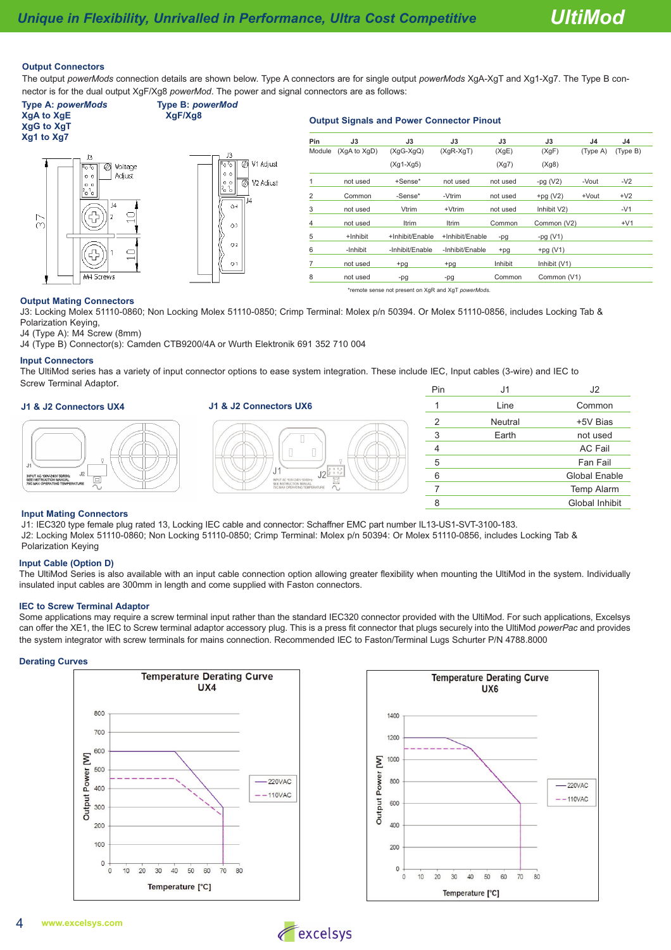V1 Adjust

V<sub>2</sub> Adjust

#### **Output Connectors**

The output *powerMods* connection details are shown below. Type A connectors are for single output *powerMods* XgA-XgT and Xg1-Xg7. The Type B connector is for the dual output XgF/Xg8 *powerMod*. The power and signal connectors are as follows:



# **Type A:** *powerMods* **Type B:** *powerMod*





| Pin            | J3           | J3              | J3              | J3       | J3           | J4       | J4       |
|----------------|--------------|-----------------|-----------------|----------|--------------|----------|----------|
| Module         | (XqA to XqD) | $(XqG-XqQ)$     | $(XqR-XqT)$     | (XgE)    | (XgF)        | (Type A) | (Type B) |
|                |              | $(Xg1-Xg5)$     |                 | (Xg7)    | (Xg8)        |          |          |
|                | not used     | +Sense*         | not used        | not used | -pg $(V2)$   | -Vout    | $-V2$    |
| $\overline{2}$ | Common       | -Sense*         | -Vtrim          | not used | $+pg(V2)$    | +Vout    | $+V2$    |
| 3              | not used     | Vtrim           | $+V$ trim       | not used | Inhibit V2)  |          | $-V1$    |
| 4              | not used     | Itrim           | Itrim           | Common   | Common (V2)  |          | $+V1$    |
| 5              | +Inhibit     | +Inhibit/Enable | +Inhibit/Enable | -pg      | -pg $(V1)$   |          |          |
| 6              | -Inhibit     | -Inhibit/Enable | -Inhibit/Enable | $+pg$    | +pg $(V1)$   |          |          |
| 7              | not used     | $+pg$           | $+pg$           | Inhibit  | Inhibit (V1) |          |          |
| 8              | not used     | -pg             | -pg             | Common   | Common (V1)  |          |          |

<sup>\*</sup>remote sense not present on XgR and XgT *powerMods*.

**Output Mating Connectors**

J3: Locking Molex 51110-0860; Non Locking Molex 51110-0850; Crimp Terminal: Molex p/n 50394. Or Molex 51110-0856, includes Locking Tab & Polarization Keying,

J4 (Type A): M4 Screw (8mm)

J4 (Type B) Connector(s): Camden CTB9200/4A or Wurth Elektronik 691 352 710 004

#### **Input Connectors**

The UltiMod series has a variety of input connector options to ease system integration. These include IEC, Input cables (3-wire) and IEC to Screw Terminal Adaptor.

### **J1 & J2 Connectors UX4 J1 & J2 Connectors UX6**





| Pin | J <sub>1</sub> | J2             |
|-----|----------------|----------------|
| 1   | Line           | Common         |
| 2   | Neutral        | +5V Bias       |
| 3   | Earth          | not used       |
| 4   |                | <b>AC Fail</b> |
| 5   |                | Fan Fail       |
| 6   |                | Global Enable  |
|     |                | Temp Alarm     |
| 8   |                | Global Inhibit |
|     |                |                |

#### **Input Mating Connectors**

J1: IEC320 type female plug rated 13, Locking IEC cable and connector: Schaffner EMC part number IL13-US1-SVT-3100-183. J2: Locking Molex 51110-0860; Non Locking 51110-0850; Crimp Terminal: Molex p/n 50394: Or Molex 51110-0856, includes Locking Tab & Polarization Keying

#### **Input Cable (Option D)**

The UltiMod Series is also available with an input cable connection option allowing greater flexibility when mounting the UltiMod in the system. Individually insulated input cables are 300mm in length and come supplied with Faston connectors.

#### **IEC to Screw Terminal Adaptor**

Some applications may require a screw terminal input rather than the standard IEC320 connector provided with the UltiMod. For such applications, Excelsys can offer the XE1, the IEC to Screw terminal adaptor accessory plug. This is a press fit connector that plugs securely into the UltiMod *powerPac* and provides the system integrator with screw terminals for mains connection. Recommended IEC to Faston/Terminal Lugs Schurter P/N 4788.8000

#### **Derating Curves**